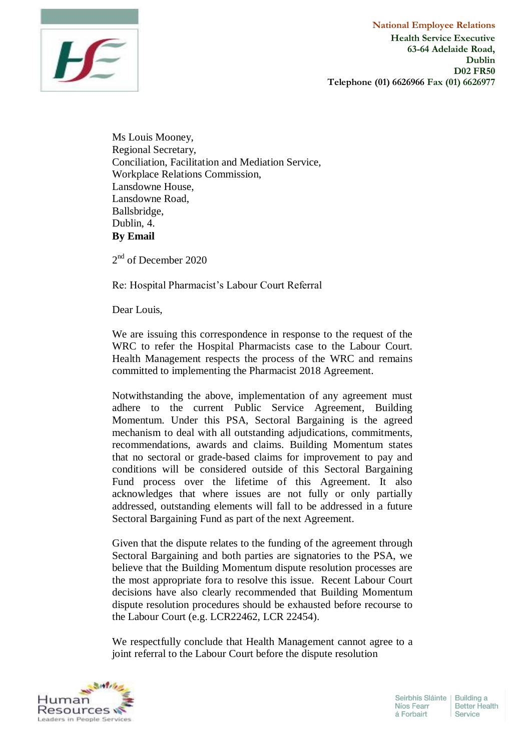

Ms Louis Mooney, Regional Secretary, Conciliation, Facilitation and Mediation Service, Workplace Relations Commission, Lansdowne House, Lansdowne Road, Ballsbridge, Dublin, 4. **By Email**

2<sup>nd</sup> of December 2020

Re: Hospital Pharmacist's Labour Court Referral

Dear Louis,

We are issuing this correspondence in response to the request of the WRC to refer the Hospital Pharmacists case to the Labour Court. Health Management respects the process of the WRC and remains committed to implementing the Pharmacist 2018 Agreement.

Notwithstanding the above, implementation of any agreement must adhere to the current Public Service Agreement, Building Momentum. Under this PSA, Sectoral Bargaining is the agreed mechanism to deal with all outstanding adjudications, commitments, recommendations, awards and claims. Building Momentum states that no sectoral or grade-based claims for improvement to pay and conditions will be considered outside of this Sectoral Bargaining Fund process over the lifetime of this Agreement. It also acknowledges that where issues are not fully or only partially addressed, outstanding elements will fall to be addressed in a future Sectoral Bargaining Fund as part of the next Agreement.

Given that the dispute relates to the funding of the agreement through Sectoral Bargaining and both parties are signatories to the PSA, we believe that the Building Momentum dispute resolution processes are the most appropriate fora to resolve this issue. Recent Labour Court decisions have also clearly recommended that Building Momentum dispute resolution procedures should be exhausted before recourse to the Labour Court (e.g. LCR22462, LCR 22454).

We respectfully conclude that Health Management cannot agree to a joint referral to the Labour Court before the dispute resolution

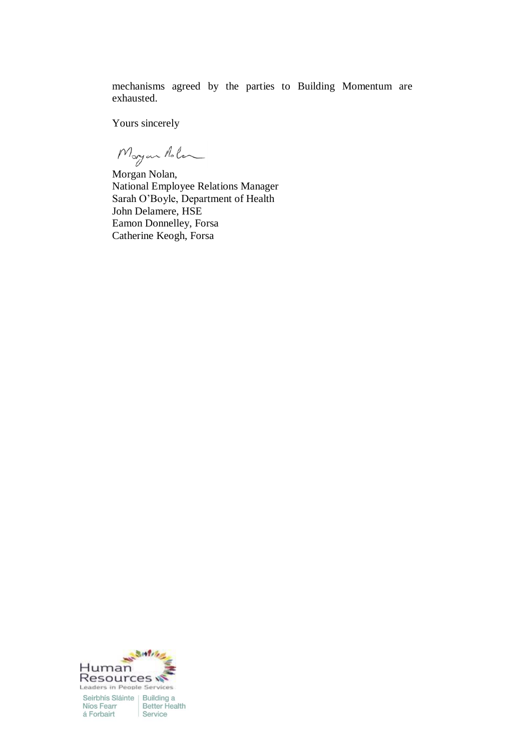mechanisms agreed by the parties to Building Momentum are exhausted.

Yours sincerely

Morgan Aolen

Morgan Nolan, National Employee Relations Manager Sarah O'Boyle, Department of Health John Delamere, HSE Eamon Donnelley, Forsa Catherine Keogh, Forsa